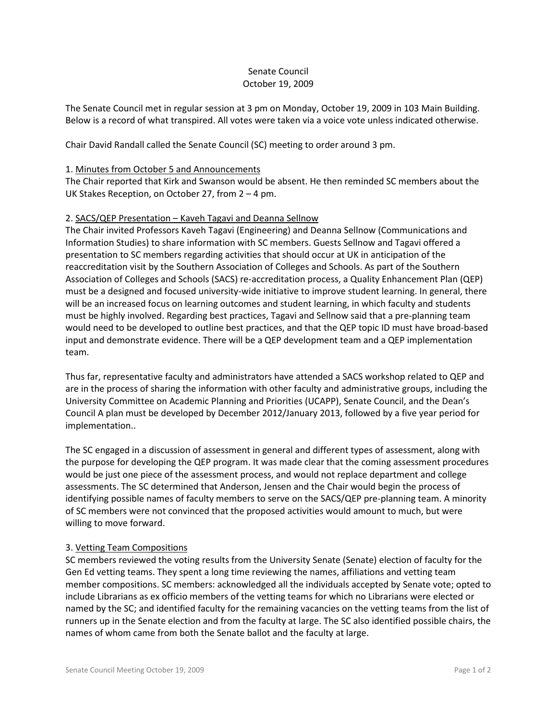# Senate Council October 19, 2009

The Senate Council met in regular session at 3 pm on Monday, October 19, 2009 in 103 Main Building. Below is a record of what transpired. All votes were taken via a voice vote unless indicated otherwise.

Chair David Randall called the Senate Council (SC) meeting to order around 3 pm.

#### 1. Minutes from October 5 and Announcements

The Chair reported that Kirk and Swanson would be absent. He then reminded SC members about the UK Stakes Reception, on October 27, from 2 – 4 pm.

### 2. SACS/QEP Presentation – Kaveh Tagavi and Deanna Sellnow

The Chair invited Professors Kaveh Tagavi (Engineering) and Deanna Sellnow (Communications and Information Studies) to share information with SC members. Guests Sellnow and Tagavi offered a presentation to SC members regarding activities that should occur at UK in anticipation of the reaccreditation visit by the Southern Association of Colleges and Schools. As part of the Southern Association of Colleges and Schools (SACS) re-accreditation process, a Quality Enhancement Plan (QEP) must be a designed and focused university-wide initiative to improve student learning. In general, there will be an increased focus on learning outcomes and student learning, in which faculty and students must be highly involved. Regarding best practices, Tagavi and Sellnow said that a pre-planning team would need to be developed to outline best practices, and that the QEP topic ID must have broad-based input and demonstrate evidence. There will be a QEP development team and a QEP implementation team.

Thus far, representative faculty and administrators have attended a SACS workshop related to QEP and are in the process of sharing the information with other faculty and administrative groups, including the University Committee on Academic Planning and Priorities (UCAPP), Senate Council, and the Dean's Council A plan must be developed by December 2012/January 2013, followed by a five year period for implementation..

The SC engaged in a discussion of assessment in general and different types of assessment, along with the purpose for developing the QEP program. It was made clear that the coming assessment procedures would be just one piece of the assessment process, and would not replace department and college assessments. The SC determined that Anderson, Jensen and the Chair would begin the process of identifying possible names of faculty members to serve on the SACS/QEP pre-planning team. A minority of SC members were not convinced that the proposed activities would amount to much, but were willing to move forward.

# 3. Vetting Team Compositions

SC members reviewed the voting results from the University Senate (Senate) election of faculty for the Gen Ed vetting teams. They spent a long time reviewing the names, affiliations and vetting team member compositions. SC members: acknowledged all the individuals accepted by Senate vote; opted to include Librarians as ex officio members of the vetting teams for which no Librarians were elected or named by the SC; and identified faculty for the remaining vacancies on the vetting teams from the list of runners up in the Senate election and from the faculty at large. The SC also identified possible chairs, the names of whom came from both the Senate ballot and the faculty at large.